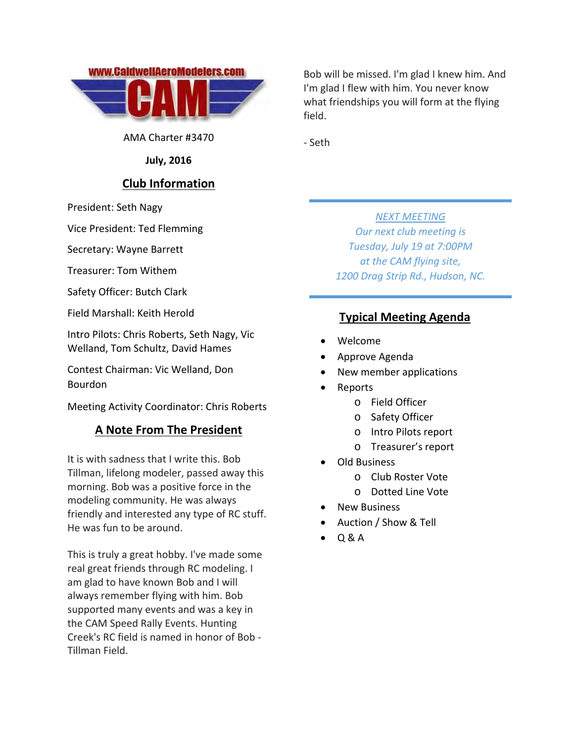

AMA Charter #3470

**July, 2016**

## **Club Information**

President: Seth Nagy

Vice President: Ted Flemming

Secretary: Wayne Barrett

Treasurer: Tom Withem

Safety Officer: Butch Clark

Field Marshall: Keith Herold

Intro Pilots: Chris Roberts, Seth Nagy, Vic Welland, Tom Schultz, David Hames

Contest Chairman: Vic Welland, Don Bourdon

Meeting Activity Coordinator: Chris Roberts

## **A Note From The President**

It is with sadness that I write this. Bob Tillman, lifelong modeler, passed away this morning. Bob was a positive force in the modeling community. He was always friendly and interested any type of RC stuff. He was fun to be around.

This is truly a great hobby. I've made some real great friends through RC modeling. I am glad to have known Bob and I will always remember flying with him. Bob supported many events and was a key in the CAM Speed Rally Events. Hunting Creek's RC field is named in honor of Bob ‐ Tillman Field.

Bob will be missed. I'm glad I knew him. And I'm glad I flew with him. You never know what friendships you will form at the flying field.

‐ Seth

*NEXT MEETING Our next club meeting is Tuesday, July 19 at 7:00PM at the CAM flying site, 1200 Drag Strip Rd., Hudson, NC.*

## **Typical Meeting Agenda**

- Welcome
- Approve Agenda
- New member applications
- Reports
	- o Field Officer
	- o Safety Officer
	- o Intro Pilots report
	- o Treasurer's report
- Old Business
	- o Club Roster Vote
	- o Dotted Line Vote
- New Business
- Auction / Show & Tell
- Q & A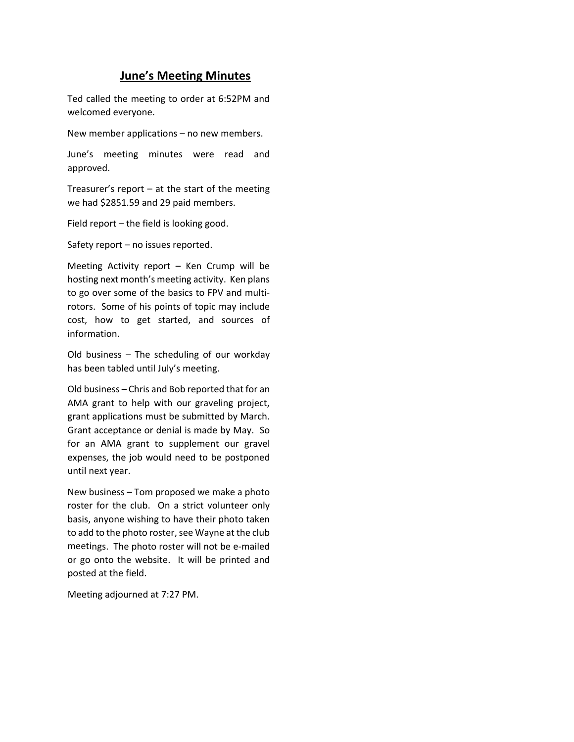## **June's Meeting Minutes**

Ted called the meeting to order at 6:52PM and welcomed everyone.

New member applications – no new members.

June's meeting minutes were read and approved.

Treasurer's report  $-$  at the start of the meeting we had \$2851.59 and 29 paid members.

Field report – the field is looking good.

Safety report – no issues reported.

Meeting Activity report – Ken Crump will be hosting next month's meeting activity. Ken plans to go over some of the basics to FPV and multi‐ rotors. Some of his points of topic may include cost, how to get started, and sources of information.

Old business – The scheduling of our workday has been tabled until July's meeting.

Old business – Chris and Bob reported that for an AMA grant to help with our graveling project, grant applications must be submitted by March. Grant acceptance or denial is made by May. So for an AMA grant to supplement our gravel expenses, the job would need to be postponed until next year.

New business – Tom proposed we make a photo roster for the club. On a strict volunteer only basis, anyone wishing to have their photo taken to add to the photo roster, see Wayne at the club meetings. The photo roster will not be e‐mailed or go onto the website. It will be printed and posted at the field.

Meeting adjourned at 7:27 PM.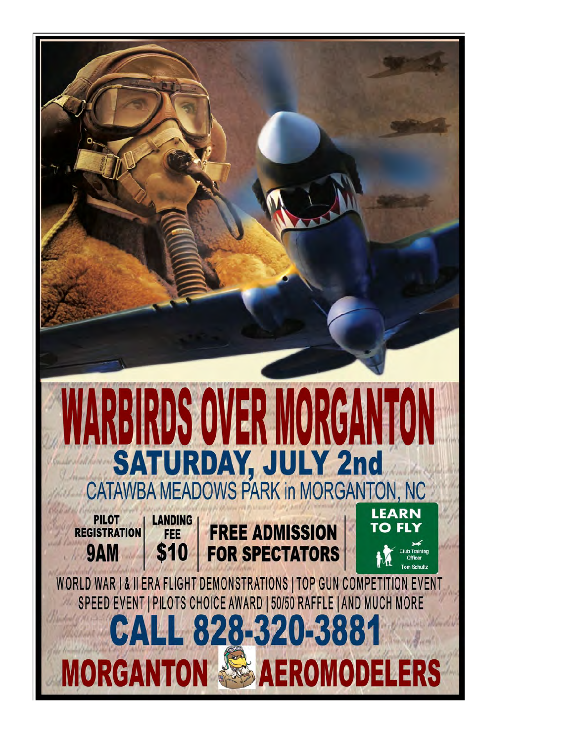